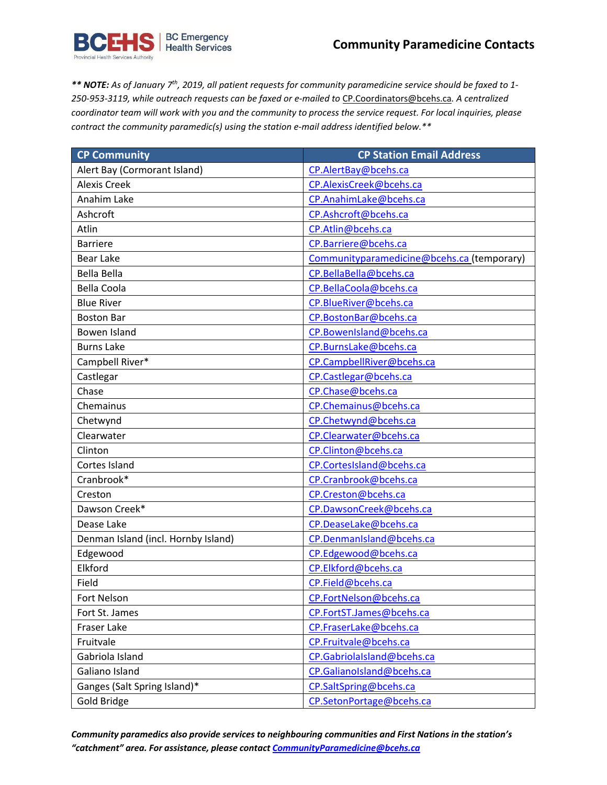

*\*\* NOTE: As of January 7th, 2019, all patient requests for community paramedicine service should be faxed to 1- 250-953-3119, while outreach requests can be faxed or e-mailed to* [CP.Coordinators@bcehs.ca](mailto:CP.Coordinators@bcehs.ca)*. A centralized* coordinator team will work with you and the community to process the service request. For local inquiries, please *contract the community paramedic(s) using the station e-mail address identified below.\*\**

| <b>CP Community</b>                 | <b>CP Station Email Address</b>            |
|-------------------------------------|--------------------------------------------|
| Alert Bay (Cormorant Island)        | CP.AlertBay@bcehs.ca                       |
| <b>Alexis Creek</b>                 | CP.AlexisCreek@bcehs.ca                    |
| Anahim Lake                         | CP.AnahimLake@bcehs.ca                     |
| Ashcroft                            | CP.Ashcroft@bcehs.ca                       |
| Atlin                               | CP.Atlin@bcehs.ca                          |
| <b>Barriere</b>                     | CP.Barriere@bcehs.ca                       |
| <b>Bear Lake</b>                    | Communityparamedicine@bcehs.ca (temporary) |
| <b>Bella Bella</b>                  | CP.BellaBella@bcehs.ca                     |
| <b>Bella Coola</b>                  | CP.BellaCoola@bcehs.ca                     |
| <b>Blue River</b>                   | CP.BlueRiver@bcehs.ca                      |
| <b>Boston Bar</b>                   | CP.BostonBar@bcehs.ca                      |
| Bowen Island                        | CP.BowenIsland@bcehs.ca                    |
| <b>Burns Lake</b>                   | CP.BurnsLake@bcehs.ca                      |
| Campbell River*                     | CP.CampbellRiver@bcehs.ca                  |
| Castlegar                           | CP.Castlegar@bcehs.ca                      |
| Chase                               | CP.Chase@bcehs.ca                          |
| Chemainus                           | CP.Chemainus@bcehs.ca                      |
| Chetwynd                            | CP.Chetwynd@bcehs.ca                       |
| Clearwater                          | CP.Clearwater@bcehs.ca                     |
| Clinton                             | CP.Clinton@bcehs.ca                        |
| Cortes Island                       | CP.CortesIsland@bcehs.ca                   |
| Cranbrook*                          | CP.Cranbrook@bcehs.ca                      |
| Creston                             | CP.Creston@bcehs.ca                        |
| Dawson Creek*                       | CP.DawsonCreek@bcehs.ca                    |
| Dease Lake                          | CP.DeaseLake@bcehs.ca                      |
| Denman Island (incl. Hornby Island) | CP.DenmanIsland@bcehs.ca                   |
| Edgewood                            | CP.Edgewood@bcehs.ca                       |
| Elkford                             | CP.Elkford@bcehs.ca                        |
| Field                               | CP.Field@bcehs.ca                          |
| <b>Fort Nelson</b>                  | CP.FortNelson@bcehs.ca                     |
| Fort St. James                      | CP.FortST.James@bcehs.ca                   |
| <b>Fraser Lake</b>                  | CP.FraserLake@bcehs.ca                     |
| Fruitvale                           | CP.Fruitvale@bcehs.ca                      |
| Gabriola Island                     | CP.Gabriolalsland@bcehs.ca                 |
| Galiano Island                      | CP.GalianoIsland@bcehs.ca                  |
| Ganges (Salt Spring Island)*        | CP.SaltSpring@bcehs.ca                     |
| Gold Bridge                         | CP.SetonPortage@bcehs.ca                   |

*Community paramedics also provide services to neighbouring communities and First Nations in the station's "catchment" area. For assistance, please contact [CommunityParamedicine@bcehs.ca](mailto:CommunityParamedicine@bcehs.ca)*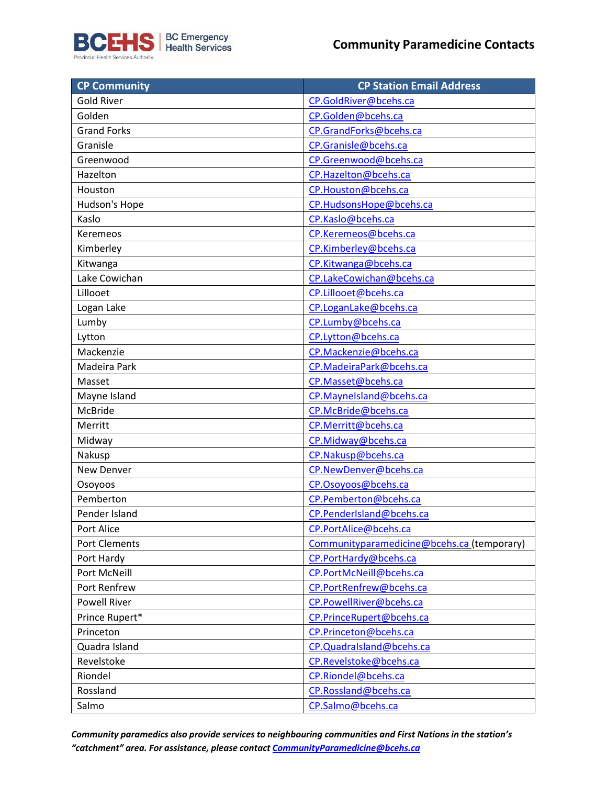

| <b>CP Community</b>  | <b>CP Station Email Address</b>            |
|----------------------|--------------------------------------------|
| <b>Gold River</b>    | CP.GoldRiver@bcehs.ca                      |
| Golden               | CP.Golden@bcehs.ca                         |
| <b>Grand Forks</b>   | CP.GrandForks@bcehs.ca                     |
| Granisle             | CP.Granisle@bcehs.ca                       |
| Greenwood            | CP.Greenwood@bcehs.ca                      |
| Hazelton             | CP.Hazelton@bcehs.ca                       |
| Houston              | CP.Houston@bcehs.ca                        |
| Hudson's Hope        | CP.HudsonsHope@bcehs.ca                    |
| Kaslo                | CP.Kaslo@bcehs.ca                          |
| Keremeos             | CP.Keremeos@bcehs.ca                       |
| Kimberley            | CP.Kimberley@bcehs.ca                      |
| Kitwanga             | CP.Kitwanga@bcehs.ca                       |
| Lake Cowichan        | CP.LakeCowichan@bcehs.ca                   |
| Lillooet             | CP.Lillooet@bcehs.ca                       |
| Logan Lake           | CP.LoganLake@bcehs.ca                      |
| Lumby                | CP.Lumby@bcehs.ca                          |
| Lytton               | CP.Lytton@bcehs.ca                         |
| Mackenzie            | CP.Mackenzie@bcehs.ca                      |
| Madeira Park         | CP.MadeiraPark@bcehs.ca                    |
| Masset               | CP.Masset@bcehs.ca                         |
| Mayne Island         | CP.Maynelsland@bcehs.ca                    |
| McBride              | CP.McBride@bcehs.ca                        |
| Merritt              | CP.Merritt@bcehs.ca                        |
| Midway               | CP.Midway@bcehs.ca                         |
| Nakusp               | CP.Nakusp@bcehs.ca                         |
| New Denver           | CP.NewDenver@bcehs.ca                      |
| Osoyoos              | CP.Osoyoos@bcehs.ca                        |
| Pemberton            | CP.Pemberton@bcehs.ca                      |
| Pender Island        | CP.PenderIsland@bcehs.ca                   |
| Port Alice           | CP.PortAlice@bcehs.ca                      |
| <b>Port Clements</b> | Communityparamedicine@bcehs.ca (temporary) |
| Port Hardy           | CP.PortHardy@bcehs.ca                      |
| Port McNeill         | CP.PortMcNeill@bcehs.ca                    |
| Port Renfrew         | CP.PortRenfrew@bcehs.ca                    |
| <b>Powell River</b>  | CP.PowellRiver@bcehs.ca                    |
| Prince Rupert*       | CP.PrinceRupert@bcehs.ca                   |
| Princeton            | CP.Princeton@bcehs.ca                      |
| Quadra Island        | CP.QuadraIsland@bcehs.ca                   |
| Revelstoke           | CP.Revelstoke@bcehs.ca                     |
| Riondel              | CP.Riondel@bcehs.ca                        |
| Rossland             | CP.Rossland@bcehs.ca                       |
| Salmo                | CP.Salmo@bcehs.ca                          |

*Community paramedics also provide services to neighbouring communities and First Nations in the station's "catchment" area. For assistance, please contact [CommunityParamedicine@bcehs.ca](mailto:CommunityParamedicine@bcehs.ca)*